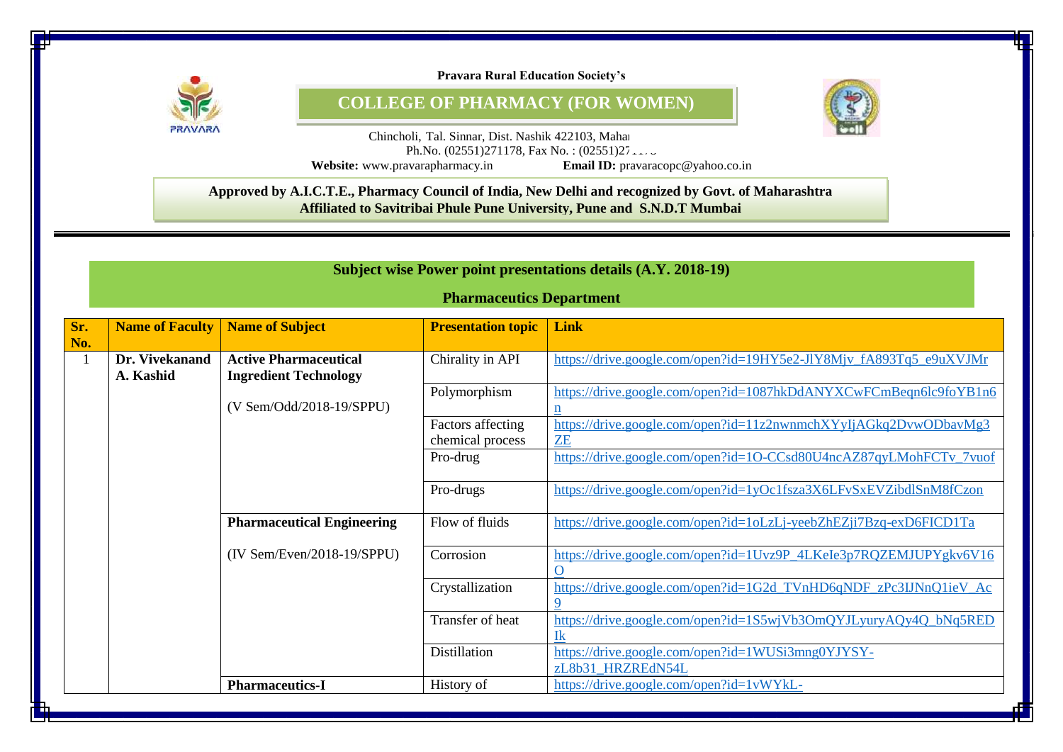

**Pravara Rural Education Society's**

**COLLEGE OF PHARMACY (FOR WOMEN)**



Chincholi, Tal. Sinnar, Dist. Nashik 422103, Mahara Ph.No.  $(02551)271178$ , Fax No. :  $(02551)27...$ **Website:** www.pravarapharmacy.in

8 **Approved by A.I.C.T.E., Pharmacy Council of India, New Delhi and recognized by Govt. of Maharashtra Affiliated to Savitribai Phule Pune University, Pune and S.N.D.T Mumbai**

|              | Subject wise Power point presentations details (A.Y. 2018-19) |                                                              |                                       |                                                                                  |  |
|--------------|---------------------------------------------------------------|--------------------------------------------------------------|---------------------------------------|----------------------------------------------------------------------------------|--|
|              |                                                               |                                                              | <b>Pharmaceutics Department</b>       |                                                                                  |  |
| Sr.<br>No.   | <b>Name of Faculty</b>                                        | <b>Name of Subject</b>                                       | <b>Presentation topic</b>             | Link                                                                             |  |
| $\mathbf{1}$ | Dr. Vivekanand<br>A. Kashid                                   | <b>Active Pharmaceutical</b><br><b>Ingredient Technology</b> | Chirality in API                      | https://drive.google.com/open?id=19HY5e2-JlY8Mjv_fA893Tq5_e9uXVJMr               |  |
|              |                                                               | (V Sem/Odd/2018-19/SPPU)                                     | Polymorphism                          | https://drive.google.com/open?id=1087hkDdANYXCwFCmBeqn6lc9foYB1n6<br>$\mathbf n$ |  |
|              |                                                               |                                                              | Factors affecting<br>chemical process | https://drive.google.com/open?id=11z2nwnmchXYyIjAGkq2DvwODbavMg3<br><b>ZE</b>    |  |
|              |                                                               |                                                              | Pro-drug                              | https://drive.google.com/open?id=1O-CCsd80U4ncAZ87qyLMohFCTv_7vuof               |  |
|              |                                                               |                                                              | Pro-drugs                             | https://drive.google.com/open?id=1yOc1fsza3X6LFvSxEVZibdlSnM8fCzon               |  |
|              |                                                               | <b>Pharmaceutical Engineering</b>                            | Flow of fluids                        | https://drive.google.com/open?id=1oLzLj-yeebZhEZji7Bzq-exD6FICD1Ta               |  |
|              |                                                               | $(IV Sem/Even/2018-19/SPPU)$                                 | Corrosion                             | https://drive.google.com/open?id=1Uvz9P_4LKeIe3p7RQZEMJUPYgkv6V16<br>$\mathbf 0$ |  |
|              |                                                               |                                                              | Crystallization                       | https://drive.google.com/open?id=1G2d_TVnHD6qNDF_zPc3IJNnQ1ieV_Ac<br>9           |  |
|              |                                                               |                                                              | Transfer of heat                      | https://drive.google.com/open?id=1S5wjVb3OmQYJLyuryAQy4Q_bNq5RED<br>$\mathbf{I}$ |  |
|              |                                                               |                                                              | <b>Distillation</b>                   | https://drive.google.com/open?id=1WUSi3mng0YJYSY-<br>zL8b31 HRZREdN54L           |  |
|              |                                                               | <b>Pharmaceutics-I</b>                                       | History of                            | https://drive.google.com/open?id=1vWYkL-                                         |  |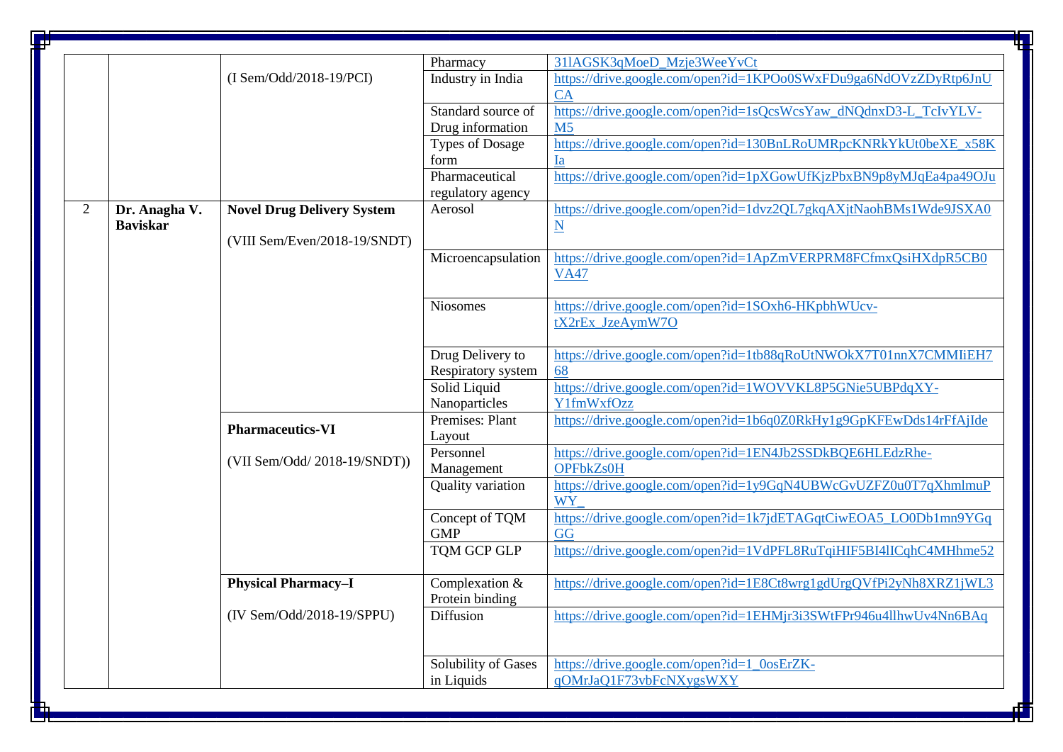|                                  | $(I Sem/Odd/2018-19/PCI)$         | Pharmacy<br>Industry in India          | 311AGSK3qMoeD Mzje3WeeYvCt<br>https://drive.google.com/open?id=1KPOo0SWxFDu9ga6NdOVzZDyRtp6JnU |
|----------------------------------|-----------------------------------|----------------------------------------|------------------------------------------------------------------------------------------------|
|                                  |                                   |                                        |                                                                                                |
|                                  |                                   |                                        | CA                                                                                             |
|                                  |                                   | Standard source of<br>Drug information | https://drive.google.com/open?id=1sQcsWcsYaw_dNQdnxD3-L_TcIvYLV-<br>M <sub>5</sub>             |
|                                  |                                   | <b>Types of Dosage</b><br>form         | https://drive.google.com/open?id=130BnLRoUMRpcKNRkYkUt0beXE_x58K<br><b>Ia</b>                  |
|                                  |                                   | Pharmaceutical                         | https://drive.google.com/open?id=1pXGowUfKjzPbxBN9p8yMJqEa4pa49OJu                             |
|                                  |                                   | regulatory agency                      |                                                                                                |
| Dr. Anagha V.<br><b>Baviskar</b> | <b>Novel Drug Delivery System</b> | Aerosol                                | https://drive.google.com/open?id=1dvz2QL7gkqAXjtNaohBMs1Wde9JSXA0<br>$\underline{\mathbf{N}}$  |
|                                  | (VIII Sem/Even/2018-19/SNDT)      |                                        |                                                                                                |
|                                  |                                   | Microencapsulation                     | https://drive.google.com/open?id=1ApZmVERPRM8FCfmxQsiHXdpR5CB0<br><b>VA47</b>                  |
|                                  |                                   | <b>Niosomes</b>                        | https://drive.google.com/open?id=1SOxh6-HKpbhWUcv-<br>tX2rEx JzeAymW7O                         |
|                                  |                                   | Drug Delivery to                       | https://drive.google.com/open?id=1tb88qRoUtNWOkX7T01nnX7CMMIiEH7<br>68                         |
|                                  |                                   | Solid Liquid                           | https://drive.google.com/open?id=1WOVVKL8P5GNie5UBPdqXY-<br>Y1fmWxfOzz                         |
|                                  |                                   |                                        | https://drive.google.com/open?id=1b6q0Z0RkHy1g9GpKFEwDds14rFfAjIde                             |
|                                  | <b>Pharmaceutics-VI</b>           | Layout                                 |                                                                                                |
|                                  | (VII Sem/Odd/ 2018-19/SNDT))      | Management                             | https://drive.google.com/open?id=1EN4Jb2SSDkBQE6HLEdzRhe-<br>OPFbkZs0H                         |
|                                  |                                   | Quality variation                      | https://drive.google.com/open?id=1y9GqN4UBWcGvUZFZ0u0T7qXhmlmuP<br>WY                          |
|                                  |                                   | Concept of TQM<br><b>GMP</b>           | https://drive.google.com/open?id=1k7jdETAGqtCiwEOA5_LO0Db1mn9YGq<br>$G\overline{G}$            |
|                                  |                                   | <b>TQM GCP GLP</b>                     | https://drive.google.com/open?id=1VdPFL8RuTqiHIF5BI4lICqhC4MHhme52                             |
|                                  | <b>Physical Pharmacy-I</b>        | Complexation &<br>Protein binding      | https://drive.google.com/open?id=1E8Ct8wrg1gdUrgQVfPi2yNh8XRZ1jWL3                             |
|                                  | (IV Sem/Odd/2018-19/SPPU)         | Diffusion                              | https://drive.google.com/open?id=1EHMjr3i3SWtFPr946u4llhwUv4Nn6BAq                             |
|                                  |                                   | Solubility of Gases                    | https://drive.google.com/open?id=1_0osErZK-<br>qOMrJaQ1F73vbFcNXygsWXY                         |
|                                  |                                   |                                        | Respiratory system<br>Nanoparticles<br>Premises: Plant<br>Personnel<br>in Liquids              |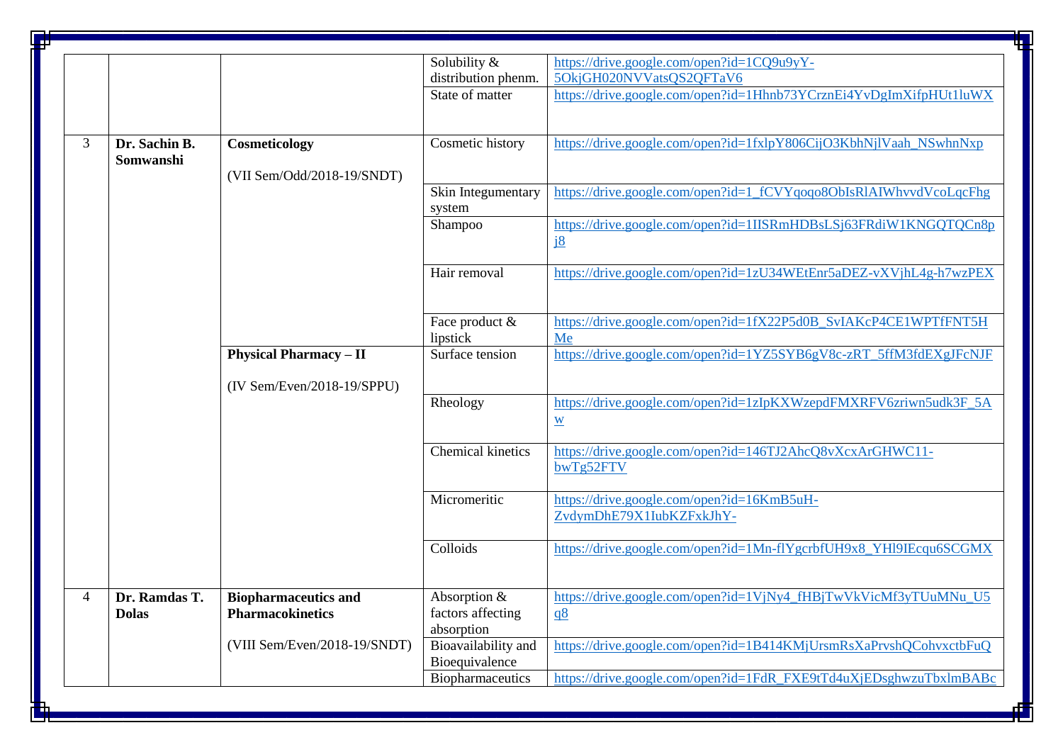|                          |               |                               | Solubility &             | https://drive.google.com/open?id=1CQ9u9yY-                         |
|--------------------------|---------------|-------------------------------|--------------------------|--------------------------------------------------------------------|
|                          |               |                               | distribution phenm.      | 5OkjGH020NVVatsQS2QFTaV6                                           |
|                          |               |                               | State of matter          | https://drive.google.com/open?id=1Hhnb73YCrznEi4YvDgImXifpHUt1luWX |
|                          |               |                               |                          |                                                                    |
|                          |               |                               |                          |                                                                    |
| 3                        | Dr. Sachin B. | Cosmeticology                 | Cosmetic history         | https://drive.google.com/open?id=1fxlpY806CijO3KbhNjlVaah_NSwhnNxp |
|                          | Somwanshi     |                               |                          |                                                                    |
|                          |               | (VII Sem/Odd/2018-19/SNDT)    |                          |                                                                    |
|                          |               |                               | Skin Integumentary       | https://drive.google.com/open?id=1 fCVYqoqo8ObIsRlAIWhvvdVcoLqcFhg |
|                          |               |                               | system                   |                                                                    |
|                          |               |                               | Shampoo                  | https://drive.google.com/open?id=1IISRmHDBsLSj63FRdiW1KNGQTQCn8p   |
|                          |               |                               |                          | <u>i8</u>                                                          |
|                          |               |                               |                          |                                                                    |
|                          |               |                               | Hair removal             | https://drive.google.com/open?id=1zU34WEtEnr5aDEZ-vXVjhL4g-h7wzPEX |
|                          |               |                               |                          |                                                                    |
|                          |               |                               |                          |                                                                    |
|                          |               |                               | Face product &           | https://drive.google.com/open?id=1fX22P5d0B_SvIAKcP4CE1WPTfFNT5H   |
|                          |               |                               | lipstick                 | Me                                                                 |
|                          |               | <b>Physical Pharmacy - II</b> | Surface tension          | https://drive.google.com/open?id=1YZ5SYB6gV8c-zRT_5ffM3fdEXgJFcNJF |
|                          |               |                               |                          |                                                                    |
|                          |               | $(IV Sem/Even/2018-19/SPPU)$  |                          |                                                                    |
|                          |               |                               | Rheology                 | https://drive.google.com/open?id=1zIpKXWzepdFMXRFV6zriwn5udk3F_5A  |
|                          |               |                               |                          | $\underline{W}$                                                    |
|                          |               |                               |                          |                                                                    |
|                          |               |                               | <b>Chemical kinetics</b> | https://drive.google.com/open?id=146TJ2AhcQ8vXcxArGHWC11-          |
|                          |               |                               |                          | bwTg52FTV                                                          |
|                          |               |                               |                          |                                                                    |
|                          |               |                               | Micromeritic             | https://drive.google.com/open?id=16KmB5uH-                         |
|                          |               |                               |                          | ZvdymDhE79X1IubKZFxkJhY-                                           |
|                          |               |                               |                          |                                                                    |
|                          |               |                               | Colloids                 | https://drive.google.com/open?id=1Mn-flYgcrbfUH9x8_YHl9IEcqu6SCGMX |
|                          |               |                               |                          |                                                                    |
|                          |               |                               |                          |                                                                    |
| $\overline{\mathcal{A}}$ | Dr. Ramdas T. | <b>Biopharmaceutics and</b>   | Absorption &             | https://drive.google.com/open?id=1VjNy4_fHBjTwVkVicMf3yTUuMNu_U5   |
|                          | <b>Dolas</b>  | <b>Pharmacokinetics</b>       | factors affecting        | q8                                                                 |
|                          |               |                               | absorption               |                                                                    |
|                          |               | (VIII Sem/Even/2018-19/SNDT)  | Bioavailability and      | https://drive.google.com/open?id=1B414KMjUrsmRsXaPrvshQCohvxctbFuQ |
|                          |               |                               | Bioequivalence           |                                                                    |
|                          |               |                               | Biopharmaceutics         | https://drive.google.com/open?id=1FdR FXE9tTd4uXjEDsghwzuTbxlmBABc |
|                          |               |                               |                          |                                                                    |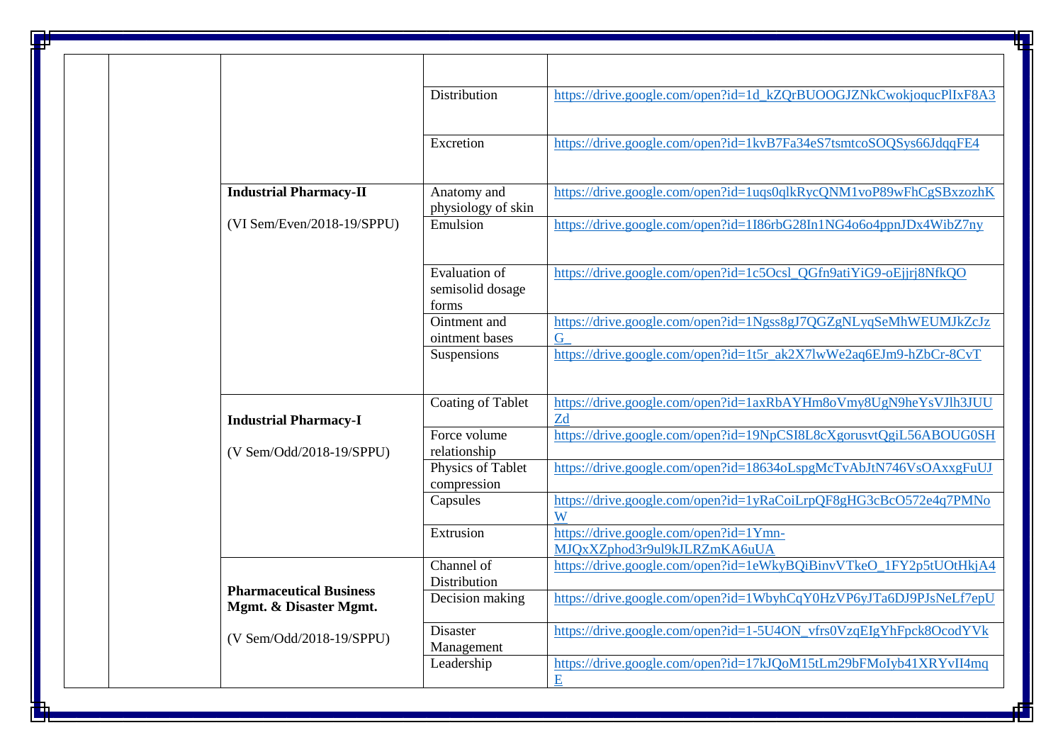|                                                          | Distribution                               | https://drive.google.com/open?id=1d_kZQrBUOOGJZNkCwokjoqucPlIxF8A3     |
|----------------------------------------------------------|--------------------------------------------|------------------------------------------------------------------------|
|                                                          | Excretion                                  | https://drive.google.com/open?id=1kvB7Fa34eS7tsmtcoSOQSys66JdqqFE4     |
|                                                          |                                            |                                                                        |
| <b>Industrial Pharmacy-II</b>                            | Anatomy and<br>physiology of skin          | https://drive.google.com/open?id=1uqs0qlkRycQNM1voP89wFhCgSBxzozhK     |
| $(VI Sem/Even/2018-19/SPPU)$                             | Emulsion                                   | https://drive.google.com/open?id=1I86rbG28In1NG4o6o4ppnJDx4WibZ7ny     |
|                                                          | Evaluation of<br>semisolid dosage<br>forms | https://drive.google.com/open?id=1c5Ocsl_QGfn9atiYiG9-oEjjrj8NfkQO     |
|                                                          | Ointment and<br>ointment bases             | https://drive.google.com/open?id=1Ngss8gJ7QGZgNLyqSeMhWEUMJkZcJz<br>G  |
|                                                          | Suspensions                                | https://drive.google.com/open?id=1t5r_ak2X7lwWe2aq6EJm9-hZbCr-8CvT     |
| <b>Industrial Pharmacy-I</b>                             | Coating of Tablet                          | https://drive.google.com/open?id=1axRbAYHm8oVmy8UgN9heYsVJlh3JUU<br>Zd |
| (V Sem/Odd/2018-19/SPPU)                                 | Force volume<br>relationship               | https://drive.google.com/open?id=19NpCSI8L8cXgorusvtQgiL56ABOUG0SH     |
|                                                          | Physics of Tablet<br>compression           | https://drive.google.com/open?id=18634oLspgMcTvAbJtN746VsOAxxgFuUJ     |
|                                                          | Capsules                                   | https://drive.google.com/open?id=1yRaCoiLrpQF8gHG3cBcO572e4q7PMNo<br>W |
|                                                          | Extrusion                                  | https://drive.google.com/open?id=1Ymn-<br>MJQxXZphod3r9ul9kJLRZmKA6uUA |
|                                                          | Channel of<br>Distribution                 | https://drive.google.com/open?id=1eWkyBQiBinvVTkeO_1FY2p5tUOtHkjA4     |
| <b>Pharmaceutical Business</b><br>Mgmt. & Disaster Mgmt. | Decision making                            | https://drive.google.com/open?id=1WbyhCqY0HzVP6yJTa6DJ9PJsNeLf7epU     |
| (V Sem/Odd/2018-19/SPPU)                                 | Disaster<br>Management                     | https://drive.google.com/open?id=1-5U4ON_vfrs0VzqEIgYhFpck8OcodYVk     |
|                                                          |                                            | https://drive.google.com/open?id=17kJQoM15tLm29bFMoIyb41XRYvII4mq      |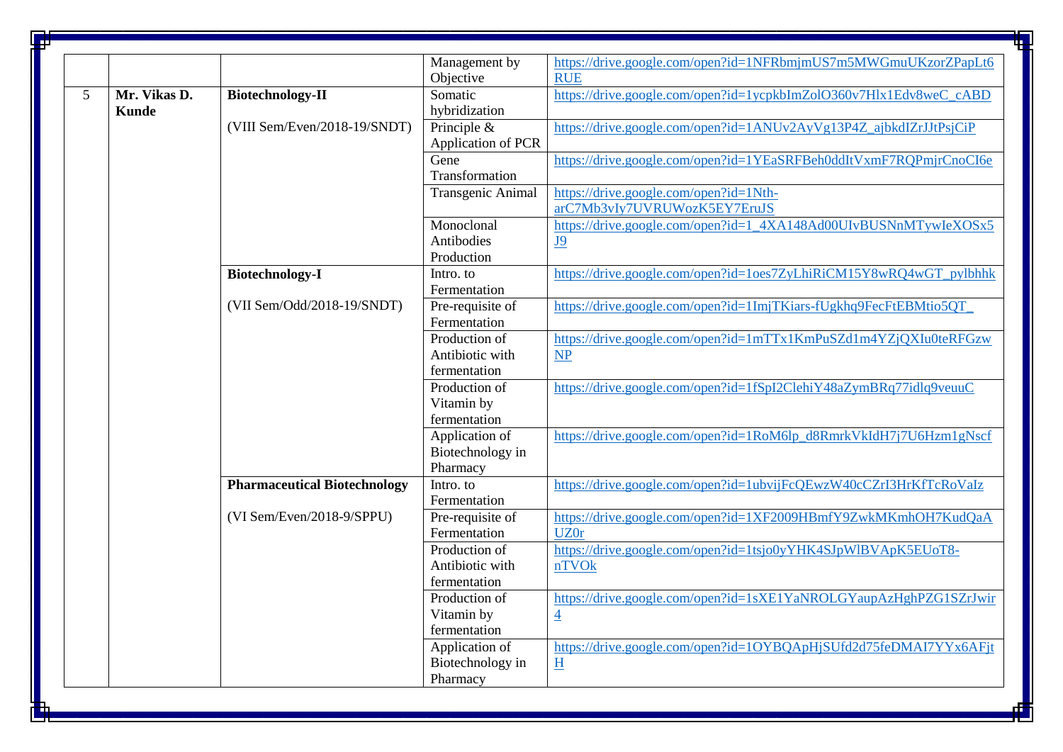|   |              |                                     | Management by                      | https://drive.google.com/open?id=1NFRbmjmUS7m5MWGmuUKzorZPapLt6    |
|---|--------------|-------------------------------------|------------------------------------|--------------------------------------------------------------------|
|   |              |                                     | Objective                          | <b>RUE</b>                                                         |
| 5 | Mr. Vikas D. | <b>Biotechnology-II</b>             | Somatic                            | https://drive.google.com/open?id=1ycpkbImZolO360v7Hlx1Edv8weC_cABD |
|   | <b>Kunde</b> |                                     | hybridization                      |                                                                    |
|   |              | (VIII Sem/Even/2018-19/SNDT)        | Principle $\&$                     | https://drive.google.com/open?id=1ANUv2AyVg13P4Z_ajbkdIZrJJtPsjCiP |
|   |              |                                     | Application of PCR                 |                                                                    |
|   |              |                                     | Gene                               | https://drive.google.com/open?id=1YEaSRFBeh0ddItVxmF7RQPmjrCnoCI6e |
|   |              |                                     | Transformation                     |                                                                    |
|   |              |                                     | Transgenic Animal                  | https://drive.google.com/open?id=1Nth-                             |
|   |              |                                     |                                    | arC7Mb3vIy7UVRUWozK5EY7EruJS                                       |
|   |              |                                     | Monoclonal                         | https://drive.google.com/open?id=1_4XA148Ad00UIvBUSNnMTywIeXOSx5   |
|   |              |                                     | Antibodies                         | <u>J9</u>                                                          |
|   |              |                                     | Production                         |                                                                    |
|   |              | <b>Biotechnology-I</b>              | Intro. to                          | https://drive.google.com/open?id=1oes7ZyLhiRiCM15Y8wRQ4wGT_pylbhhk |
|   |              | (VII Sem/Odd/2018-19/SNDT)          | Fermentation                       | https://drive.google.com/open?id=1ImjTKiars-fUgkhq9FecFtEBMtio5QT_ |
|   |              |                                     | Pre-requisite of<br>Fermentation   |                                                                    |
|   |              |                                     | Production of                      | https://drive.google.com/open?id=1mTTx1KmPuSZd1m4YZjQXIu0teRFGzw   |
|   |              |                                     | Antibiotic with                    | $\overline{\text{NP}}$                                             |
|   |              |                                     | fermentation                       |                                                                    |
|   |              |                                     | Production of                      | https://drive.google.com/open?id=1fSpI2ClehiY48aZymBRq77idlq9veuuC |
|   |              |                                     | Vitamin by                         |                                                                    |
|   |              |                                     | fermentation                       |                                                                    |
|   |              |                                     | Application of                     | https://drive.google.com/open?id=1RoM6lp_d8RmrkVkIdH7j7U6Hzm1gNscf |
|   |              |                                     | Biotechnology in                   |                                                                    |
|   |              |                                     | Pharmacy                           |                                                                    |
|   |              | <b>Pharmaceutical Biotechnology</b> | Intro. to                          | https://drive.google.com/open?id=1ubvijFcQEwzW40cCZrI3HrKfTcRoVaIz |
|   |              |                                     | Fermentation                       |                                                                    |
|   |              | (VI Sem/Even/2018-9/SPPU)           | Pre-requisite of                   | https://drive.google.com/open?id=1XF2009HBmfY9ZwkMKmhOH7KudQaA     |
|   |              |                                     | Fermentation                       | <b>UZ0r</b>                                                        |
|   |              |                                     | Production of                      | https://drive.google.com/open?id=1tsjo0yYHK4SJpWlBVApK5EUoT8-      |
|   |              |                                     | Antibiotic with                    | nTVOk                                                              |
|   |              |                                     | fermentation                       |                                                                    |
|   |              |                                     | Production of                      | https://drive.google.com/open?id=1sXE1YaNROLGYaupAzHghPZG1SZrJwir  |
|   |              |                                     | Vitamin by                         | $\overline{4}$                                                     |
|   |              |                                     | fermentation                       | https://drive.google.com/open?id=1OYBQApHjSUfd2d75feDMAI7YYx6AFjt  |
|   |              |                                     | Application of<br>Biotechnology in |                                                                    |
|   |              |                                     | Pharmacy                           | H                                                                  |
|   |              |                                     |                                    |                                                                    |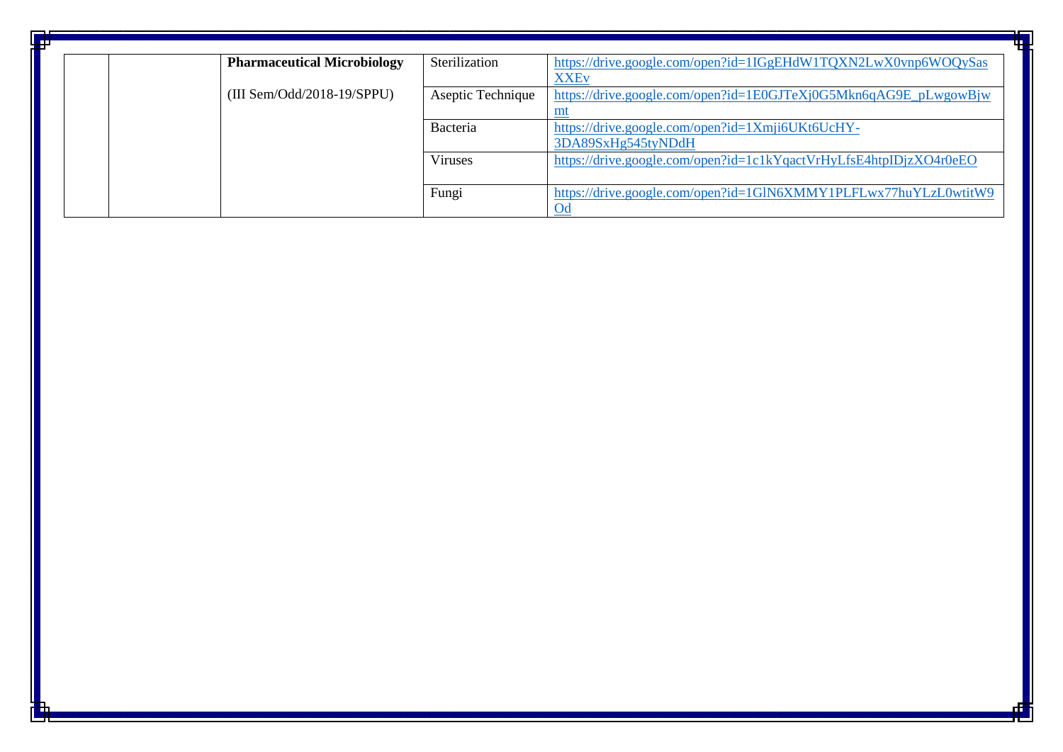| ₩ |  |                                    |                   |                                                                    |
|---|--|------------------------------------|-------------------|--------------------------------------------------------------------|
|   |  | <b>Pharmaceutical Microbiology</b> | Sterilization     | https://drive.google.com/open?id=1IGgEHdW1TQXN2LwX0vnp6WOQySas     |
|   |  |                                    |                   | <b>XXEv</b>                                                        |
|   |  | $(III\ Sem/Odd/2018-19/SPPU)$      | Aseptic Technique | https://drive.google.com/open?id=1E0GJTeXj0G5Mkn6qAG9E_pLwgowBjw   |
|   |  |                                    |                   |                                                                    |
|   |  |                                    | Bacteria          | https://drive.google.com/open?id=1Xmji6UKt6UcHY-                   |
|   |  |                                    |                   | 3DA89SxHg545tyNDdH                                                 |
|   |  |                                    | Viruses           | https://drive.google.com/open?id=1c1kYqactVrHyLfsE4htpIDjzXO4r0eEO |
|   |  |                                    |                   |                                                                    |
|   |  |                                    | Fungi             | https://drive.google.com/open?id=1GlN6XMMY1PLFLwx77huYLzL0wtitW9   |
|   |  |                                    |                   | O <sub>d</sub>                                                     |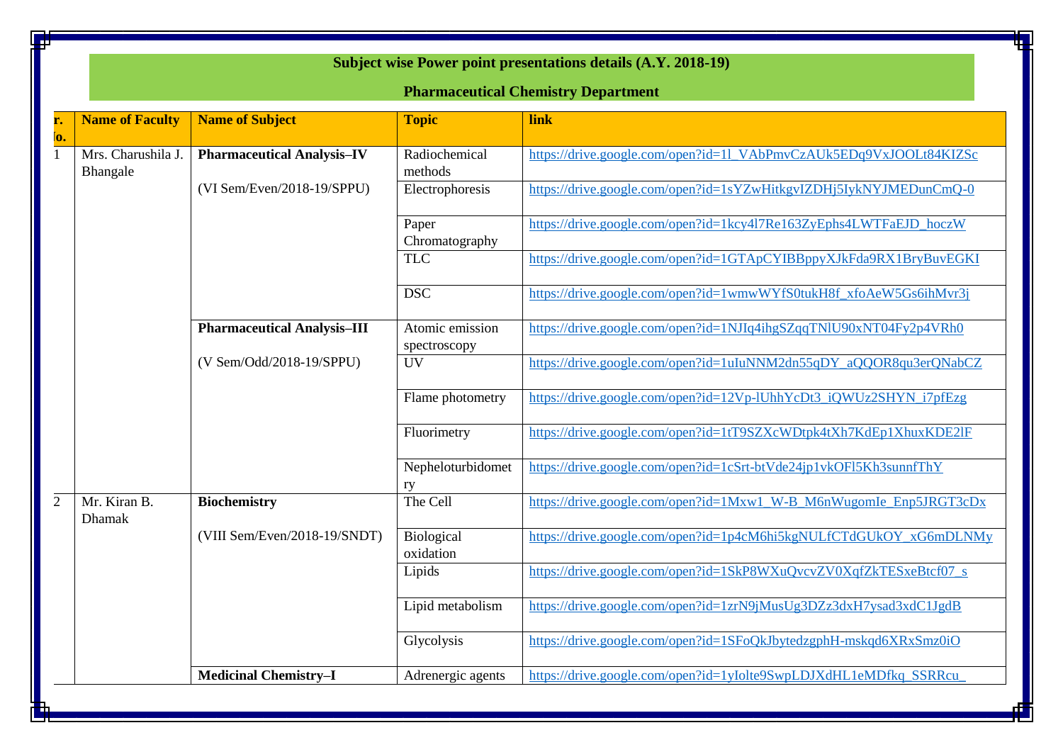|                                                | Subject wise Power point presentations details (A.Y. 2018-19)<br><b>Pharmaceutical Chemistry Department</b> |                                 |                                                                    |  |  |  |
|------------------------------------------------|-------------------------------------------------------------------------------------------------------------|---------------------------------|--------------------------------------------------------------------|--|--|--|
| <b>Name of Faculty</b><br>r.<br>lo.            | <b>Name of Subject</b>                                                                                      | <b>Topic</b>                    | link                                                               |  |  |  |
| Mrs. Charushila J.<br>$\mathbf{1}$<br>Bhangale | <b>Pharmaceutical Analysis-IV</b>                                                                           | Radiochemical<br>methods        | https://drive.google.com/open?id=11_VAbPmvCzAUk5EDq9VxJOOLt84KIZSc |  |  |  |
|                                                | (VI Sem/Even/2018-19/SPPU)                                                                                  | Electrophoresis                 | https://drive.google.com/open?id=1sYZwHitkgvIZDHj5IykNYJMEDunCmQ-0 |  |  |  |
|                                                |                                                                                                             | Paper<br>Chromatography         | https://drive.google.com/open?id=1kcy4l7Re163ZyEphs4LWTFaEJD_hoczW |  |  |  |
|                                                |                                                                                                             | <b>TLC</b>                      | https://drive.google.com/open?id=1GTApCYIBBppyXJkFda9RX1BryBuvEGKI |  |  |  |
|                                                |                                                                                                             | <b>DSC</b>                      | https://drive.google.com/open?id=1wmwWYfS0tukH8f_xfoAeW5Gs6ihMvr3j |  |  |  |
|                                                | <b>Pharmaceutical Analysis-III</b>                                                                          | Atomic emission<br>spectroscopy | https://drive.google.com/open?id=1NJIq4ihgSZqqTNlU90xNT04Fy2p4VRh0 |  |  |  |
|                                                | (V Sem/Odd/2018-19/SPPU)                                                                                    | <b>UV</b>                       | https://drive.google.com/open?id=1uIuNNM2dn55qDY_aQQOR8qu3erQNabCZ |  |  |  |
|                                                |                                                                                                             | Flame photometry                | https://drive.google.com/open?id=12Vp-IUhhYcDt3_iQWUz2SHYN_i7pfEzg |  |  |  |
|                                                |                                                                                                             | Fluorimetry                     | https://drive.google.com/open?id=1tT9SZXcWDtpk4tXh7KdEp1XhuxKDE2IF |  |  |  |
|                                                |                                                                                                             | Nepheloturbidomet<br>ry         | https://drive.google.com/open?id=1cSrt-btVde24jp1vkOFl5Kh3sunnfThY |  |  |  |
| 2<br>Mr. Kiran B.<br><b>Dhamak</b>             | <b>Biochemistry</b>                                                                                         | The Cell                        | https://drive.google.com/open?id=1Mxw1_W-B_M6nWugomIe_Enp5JRGT3cDx |  |  |  |
|                                                | (VIII Sem/Even/2018-19/SNDT)                                                                                | Biological<br>oxidation         | https://drive.google.com/open?id=1p4cM6hi5kgNULfCTdGUkOY xG6mDLNMy |  |  |  |
|                                                |                                                                                                             | Lipids                          | https://drive.google.com/open?id=1SkP8WXuQvcvZV0XqfZkTESxeBtcf07_s |  |  |  |
|                                                |                                                                                                             | Lipid metabolism                | https://drive.google.com/open?id=1zrN9jMusUg3DZz3dxH7ysad3xdC1JgdB |  |  |  |
|                                                |                                                                                                             | Glycolysis                      | https://drive.google.com/open?id=1SFoQkJbytedzgphH-mskqd6XRxSmz0iO |  |  |  |
|                                                | <b>Medicinal Chemistry-I</b>                                                                                | Adrenergic agents               | https://drive.google.com/open?id=1yIolte9SwpLDJXdHL1eMDfkq_SSRRcu  |  |  |  |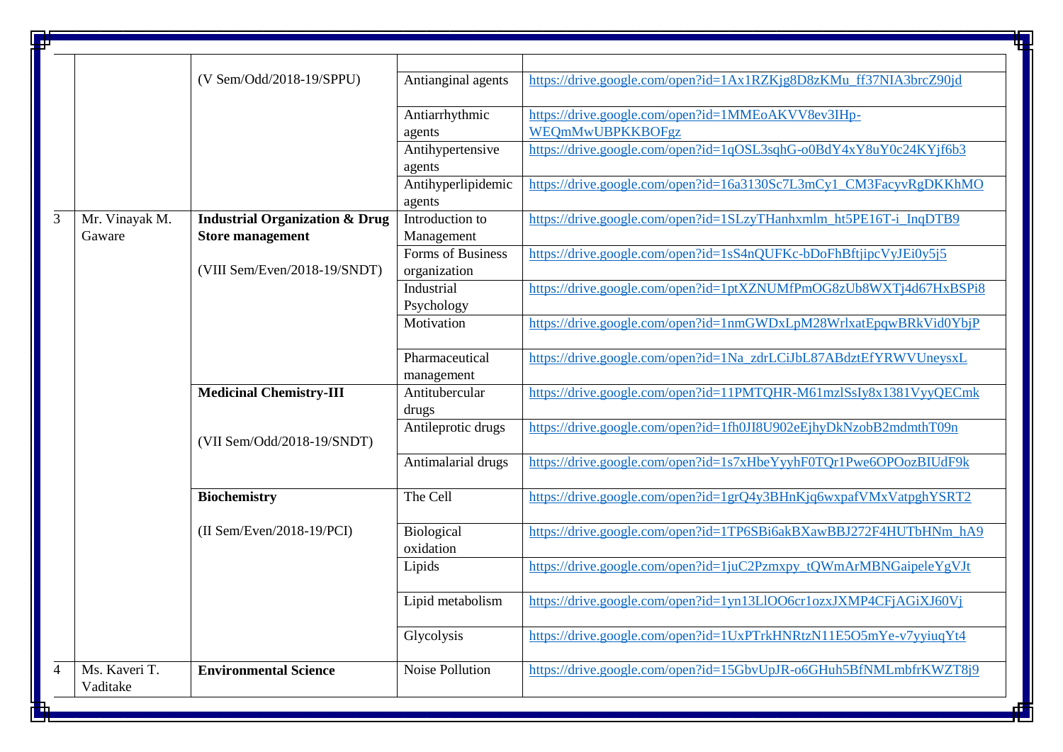|                |                           |                                                                      |                                   | 田                                                                      |
|----------------|---------------------------|----------------------------------------------------------------------|-----------------------------------|------------------------------------------------------------------------|
|                |                           |                                                                      |                                   |                                                                        |
|                |                           | (V Sem/Odd/2018-19/SPPU)                                             | Antianginal agents                | https://drive.google.com/open?id=1Ax1RZKjg8D8zKMu_ff37NIA3brcZ90jd     |
|                |                           |                                                                      | Antiarrhythmic<br>agents          | https://drive.google.com/open?id=1MMEoAKVV8ev3IHp-<br>WEQmMwUBPKKBOFgz |
|                |                           |                                                                      | Antihypertensive<br>agents        | https://drive.google.com/open?id=1qOSL3sqhG-o0BdY4xY8uY0c24KYjf6b3     |
|                |                           |                                                                      | Antihyperlipidemic<br>agents      | https://drive.google.com/open?id=16a3130Sc7L3mCy1_CM3FacyvRgDKKhMO     |
| $\overline{3}$ | Mr. Vinayak M.<br>Gaware  | <b>Industrial Organization &amp; Drug</b><br><b>Store management</b> | Introduction to<br>Management     | https://drive.google.com/open?id=1SLzyTHanhxmlm_ht5PE16T-i_InqDTB9     |
|                |                           | (VIII Sem/Even/2018-19/SNDT)                                         | Forms of Business<br>organization | https://drive.google.com/open?id=1sS4nQUFKc-bDoFhBftjipcVyJEi0y5j5     |
|                |                           |                                                                      | Industrial<br>Psychology          | https://drive.google.com/open?id=1ptXZNUMfPmOG8zUb8WXTj4d67HxBSPi8     |
|                |                           |                                                                      | Motivation                        | https://drive.google.com/open?id=1nmGWDxLpM28WrlxatEpqwBRkVid0YbjP     |
|                |                           |                                                                      | Pharmaceutical<br>management      | https://drive.google.com/open?id=1Na_zdrLCiJbL87ABdztEfYRWVUneysxL     |
|                |                           | <b>Medicinal Chemistry-III</b>                                       | Antitubercular<br>drugs           | https://drive.google.com/open?id=11PMTQHR-M61mzlSsIy8x1381VyyQECmk     |
|                |                           | (VII Sem/Odd/2018-19/SNDT)                                           | Antileprotic drugs                | https://drive.google.com/open?id=1fh0JI8U902eEjhyDkNzobB2mdmthT09n     |
|                |                           |                                                                      | Antimalarial drugs                | https://drive.google.com/open?id=1s7xHbeYyyhF0TQr1Pwe6OPOozBIUdF9k     |
|                |                           | Biochemistry                                                         | The Cell                          | https://drive.google.com/open?id=1grQ4y3BHnKjq6wxpafVMxVatpghYSRT2     |
|                |                           | $(II$ Sem/Even/2018-19/PCI)                                          | Biological<br>oxidation           | https://drive.google.com/open?id=1TP6SBi6akBXawBBJ272F4HUTbHNm_hA9     |
|                |                           |                                                                      | Lipids                            | https://drive.google.com/open?id=1juC2Pzmxpy_tQWmArMBNGaipeleYgVJt     |
|                |                           |                                                                      | Lipid metabolism                  | https://drive.google.com/open?id=1yn13L1OO6cr1ozxJXMP4CFjAGiXJ60Vj     |
|                |                           |                                                                      | Glycolysis                        | https://drive.google.com/open?id=1UxPTrkHNRtzN11E5O5mYe-v7yyiuqYt4     |
|                | Ms. Kaveri T.<br>Vaditake | <b>Environmental Science</b>                                         | <b>Noise Pollution</b>            | https://drive.google.com/open?id=15GbvUpJR-o6GHuh5BfNMLmbfrKWZT8j9     |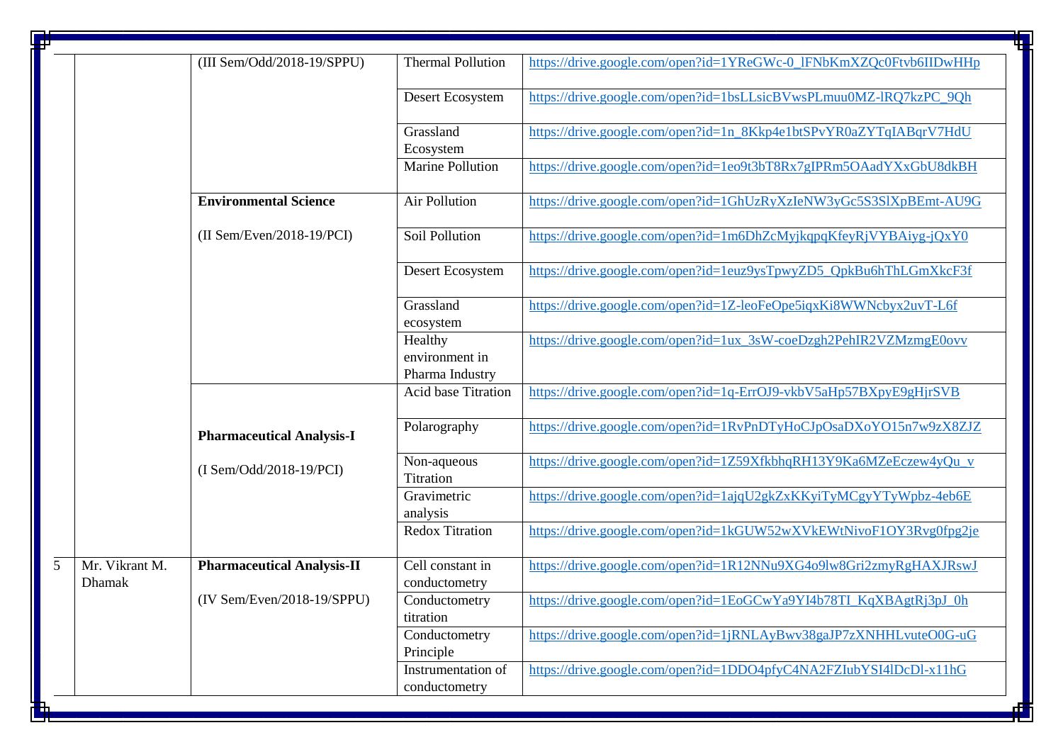| Đ |                                 |                                   |                                              | ┺                                                                  |
|---|---------------------------------|-----------------------------------|----------------------------------------------|--------------------------------------------------------------------|
|   |                                 | (III Sem/Odd/2018-19/SPPU)        | <b>Thermal Pollution</b>                     | https://drive.google.com/open?id=1YReGWc-0_lFNbKmXZQc0Ftvb6IIDwHHp |
|   |                                 |                                   | Desert Ecosystem                             | https://drive.google.com/open?id=1bsLLsicBVwsPLmuu0MZ-lRQ7kzPC_9Qh |
|   |                                 |                                   | Grassland<br>Ecosystem                       | https://drive.google.com/open?id=1n_8Kkp4e1btSPvYR0aZYTqIABqrV7HdU |
|   |                                 |                                   | <b>Marine Pollution</b>                      | https://drive.google.com/open?id=1eo9t3bT8Rx7gIPRm5OAadYXxGbU8dkBH |
|   |                                 | <b>Environmental Science</b>      | <b>Air Pollution</b>                         | https://drive.google.com/open?id=1GhUzRyXzIeNW3yGc5S3SlXpBEmt-AU9G |
|   |                                 | $(II$ Sem/Even/2018-19/PCI)       | Soil Pollution                               | https://drive.google.com/open?id=1m6DhZcMyjkqpqKfeyRjVYBAiyg-jQxY0 |
|   |                                 |                                   | Desert Ecosystem                             | https://drive.google.com/open?id=1euz9ysTpwyZD5_QpkBu6hThLGmXkcF3f |
|   |                                 |                                   | Grassland<br>ecosystem                       | https://drive.google.com/open?id=1Z-leoFeOpe5iqxKi8WWNcbyx2uvT-L6f |
|   |                                 |                                   | Healthy<br>environment in<br>Pharma Industry | https://drive.google.com/open?id=1ux_3sW-coeDzgh2PehIR2VZMzmgE0ovv |
|   |                                 |                                   | <b>Acid base Titration</b>                   | https://drive.google.com/open?id=1q-ErrOJ9-vkbV5aHp57BXpyE9gHjrSVB |
|   |                                 | <b>Pharmaceutical Analysis-I</b>  | Polarography                                 | https://drive.google.com/open?id=1RvPnDTyHoCJpOsaDXoYO15n7w9zX8ZJZ |
|   |                                 | (I Sem/Odd/2018-19/PCI)           | Non-aqueous<br>Titration                     | https://drive.google.com/open?id=1Z59XfkbhqRH13Y9Ka6MZeEczew4yQu_v |
|   |                                 |                                   | Gravimetric<br>analysis                      | https://drive.google.com/open?id=1ajqU2gkZxKKyiTyMCgyYTyWpbz-4eb6E |
|   |                                 |                                   | <b>Redox Titration</b>                       | https://drive.google.com/open?id=1kGUW52wXVkEWtNivoF1OY3Rvg0fpg2je |
| 5 | Mr. Vikrant M.<br><b>Dhamak</b> | <b>Pharmaceutical Analysis-II</b> | Cell constant in<br>conductometry            | https://drive.google.com/open?id=1R12NNu9XG4o9lw8Gri2zmyRgHAXJRswJ |
|   |                                 | $(IV Sem/Even/2018-19/SPPU)$      | Conductometry<br>titration                   | https://drive.google.com/open?id=1EoGCwYa9YI4b78TI KqXBAgtRj3pJ 0h |
|   |                                 |                                   | Conductometry<br>Principle                   | https://drive.google.com/open?id=1jRNLAyBwv38gaJP7zXNHHLvuteO0G-uG |
|   |                                 |                                   | Instrumentation of<br>conductometry          | https://drive.google.com/open?id=1DDO4pfyC4NA2FZIubYSI4lDcDl-x11hG |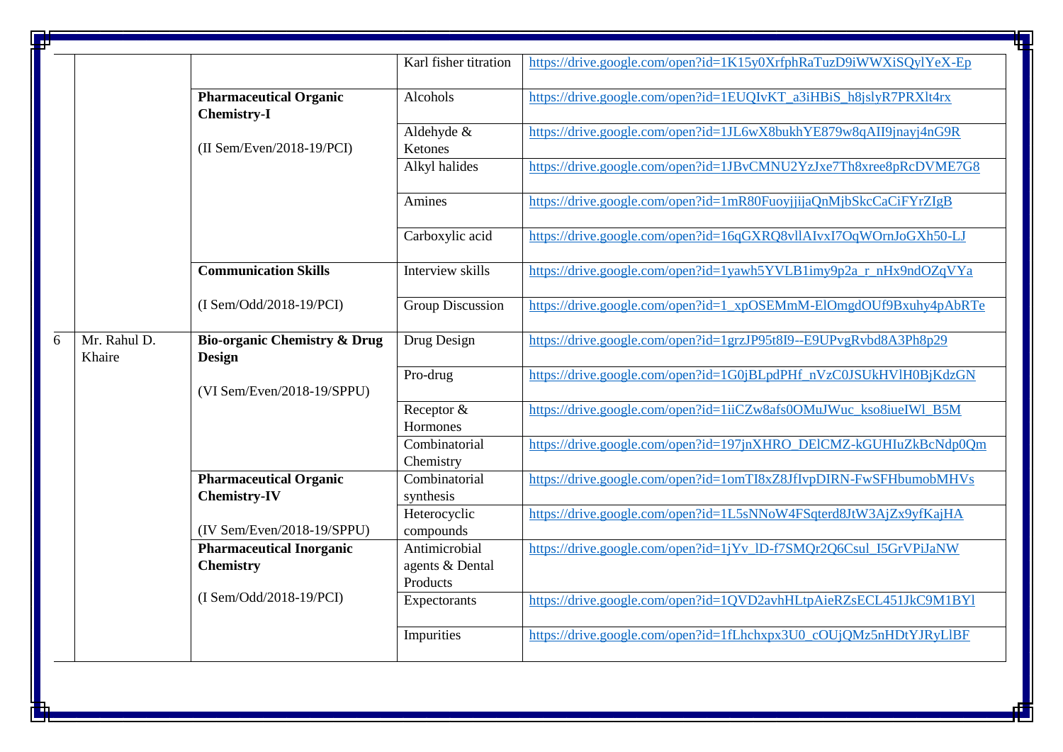|   |                        |                                                          | Karl fisher titration                        | https://drive.google.com/open?id=1K15y0XrfphRaTuzD9iWWXiSQylYeX-Ep |
|---|------------------------|----------------------------------------------------------|----------------------------------------------|--------------------------------------------------------------------|
|   |                        | <b>Pharmaceutical Organic</b><br><b>Chemistry-I</b>      | Alcohols                                     | https://drive.google.com/open?id=1EUQIvKT_a3iHBiS_h8jslyR7PRXlt4rx |
|   |                        | $(II Sem/Even/2018-19/PCI)$                              | Aldehyde &<br>Ketones                        | https://drive.google.com/open?id=1JL6wX8bukhYE879w8qAII9jnayj4nG9R |
|   |                        |                                                          | Alkyl halides                                | https://drive.google.com/open?id=1JBvCMNU2YzJxe7Th8xree8pRcDVME7G8 |
|   |                        |                                                          | Amines                                       | https://drive.google.com/open?id=1mR80FuoyjjijaQnMjbSkcCaCiFYrZIgB |
|   |                        |                                                          | Carboxylic acid                              | https://drive.google.com/open?id=16qGXRQ8vllAIvxI7OqWOrnJoGXh50-LJ |
|   |                        | <b>Communication Skills</b>                              | Interview skills                             | https://drive.google.com/open?id=1yawh5YVLB1imy9p2a_r_nHx9ndOZqVYa |
|   |                        | (I Sem/Odd/2018-19/PCI)                                  | <b>Group Discussion</b>                      | https://drive.google.com/open?id=1_xpOSEMmM-ElOmgdOUf9Bxuhy4pAbRTe |
| 6 | Mr. Rahul D.<br>Khaire | <b>Bio-organic Chemistry &amp; Drug</b><br><b>Design</b> | Drug Design                                  | https://drive.google.com/open?id=1grzJP95t8I9--E9UPvgRvbd8A3Ph8p29 |
|   |                        | (VI Sem/Even/2018-19/SPPU)                               | $\overline{Pro}$ -drug                       | https://drive.google.com/open?id=1G0jBLpdPHf_nVzC0JSUkHVlH0BjKdzGN |
|   |                        |                                                          | Receptor &<br>Hormones                       | https://drive.google.com/open?id=1iiCZw8afs0OMuJWuc_kso8iueIWl_B5M |
|   |                        |                                                          | Combinatorial<br>Chemistry                   | https://drive.google.com/open?id=197jnXHRO_DEICMZ-kGUHIuZkBcNdp0Qm |
|   |                        | <b>Pharmaceutical Organic</b><br><b>Chemistry-IV</b>     | Combinatorial<br>synthesis                   | https://drive.google.com/open?id=1omTI8xZ8JfIvpDIRN-FwSFHbumobMHVs |
|   |                        | (IV Sem/Even/2018-19/SPPU)                               | Heterocyclic<br>compounds                    | https://drive.google.com/open?id=1L5sNNoW4FSqterd8JtW3AjZx9yfKajHA |
|   |                        | <b>Pharmaceutical Inorganic</b><br><b>Chemistry</b>      | Antimicrobial<br>agents & Dental<br>Products | https://drive.google.com/open?id=1jYv_ID-f7SMQr2Q6Csul_I5GrVPiJaNW |
|   |                        | $(I Sem/Odd/2018-19/PCI)$                                | Expectorants                                 | https://drive.google.com/open?id=1QVD2avhHLtpAieRZsECL451JkC9M1BY1 |
|   |                        |                                                          | Impurities                                   | https://drive.google.com/open?id=1fLhchxpx3U0_cOUjQMz5nHDtYJRyLlBF |

匸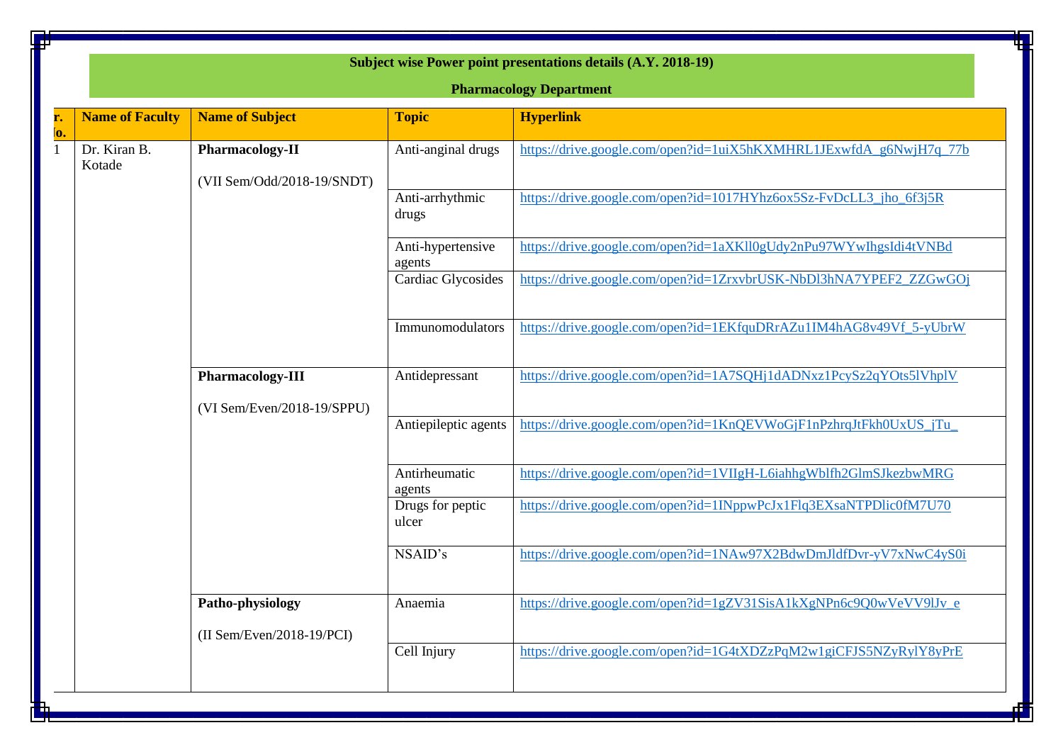| <b>Pharmacology Department</b> |                             |                             |                                                                    |  |  |  |
|--------------------------------|-----------------------------|-----------------------------|--------------------------------------------------------------------|--|--|--|
| <b>Name of Faculty</b>         | <b>Name of Subject</b>      | <b>Topic</b>                | <b>Hyperlink</b>                                                   |  |  |  |
| Dr. Kiran B.<br>Kotade         | <b>Pharmacology-II</b>      | Anti-anginal drugs          | https://drive.google.com/open?id=1uiX5hKXMHRL1JExwfdA_g6NwjH7q_77b |  |  |  |
|                                | (VII Sem/Odd/2018-19/SNDT)  | Anti-arrhythmic<br>drugs    | https://drive.google.com/open?id=1017HYhz6ox5Sz-FvDcLL3_jho_6f3j5R |  |  |  |
|                                |                             | Anti-hypertensive<br>agents | https://drive.google.com/open?id=1aXKll0gUdy2nPu97WYwIhgsIdi4tVNBd |  |  |  |
|                                |                             | Cardiac Glycosides          | https://drive.google.com/open?id=1ZrxvbrUSK-NbDl3hNA7YPEF2_ZZGwGOj |  |  |  |
|                                |                             | Immunomodulators            | https://drive.google.com/open?id=1EKfquDRrAZu1IM4hAG8v49Vf_5-yUbrW |  |  |  |
|                                | Pharmacology-III            | Antidepressant              | https://drive.google.com/open?id=1A7SQHj1dADNxz1PcySz2qYOts5lVhplV |  |  |  |
|                                | (VI Sem/Even/2018-19/SPPU)  |                             |                                                                    |  |  |  |
|                                |                             | Antiepileptic agents        | https://drive.google.com/open?id=1KnQEVWoGjF1nPzhrqJtFkh0UxUS_jTu_ |  |  |  |
|                                |                             | Antirheumatic<br>agents     | https://drive.google.com/open?id=1VIIgH-L6iahhgWblfh2GlmSJkezbwMRG |  |  |  |
|                                |                             | Drugs for peptic<br>ulcer   | https://drive.google.com/open?id=1INppwPcJx1Flq3EXsaNTPDlic0fM7U70 |  |  |  |
|                                |                             | NSAID's                     | https://drive.google.com/open?id=1NAw97X2BdwDmJldfDvr-yV7xNwC4yS0i |  |  |  |
|                                | Patho-physiology            | Anaemia                     | https://drive.google.com/open?id=1gZV31SisA1kXgNPn6c9Q0wVeVV9lJv e |  |  |  |
|                                | $(II Sem/Even/2018-19/PCI)$ |                             |                                                                    |  |  |  |
|                                |                             | Cell Injury                 | https://drive.google.com/open?id=1G4tXDZzPqM2w1giCFJS5NZyRylY8yPrE |  |  |  |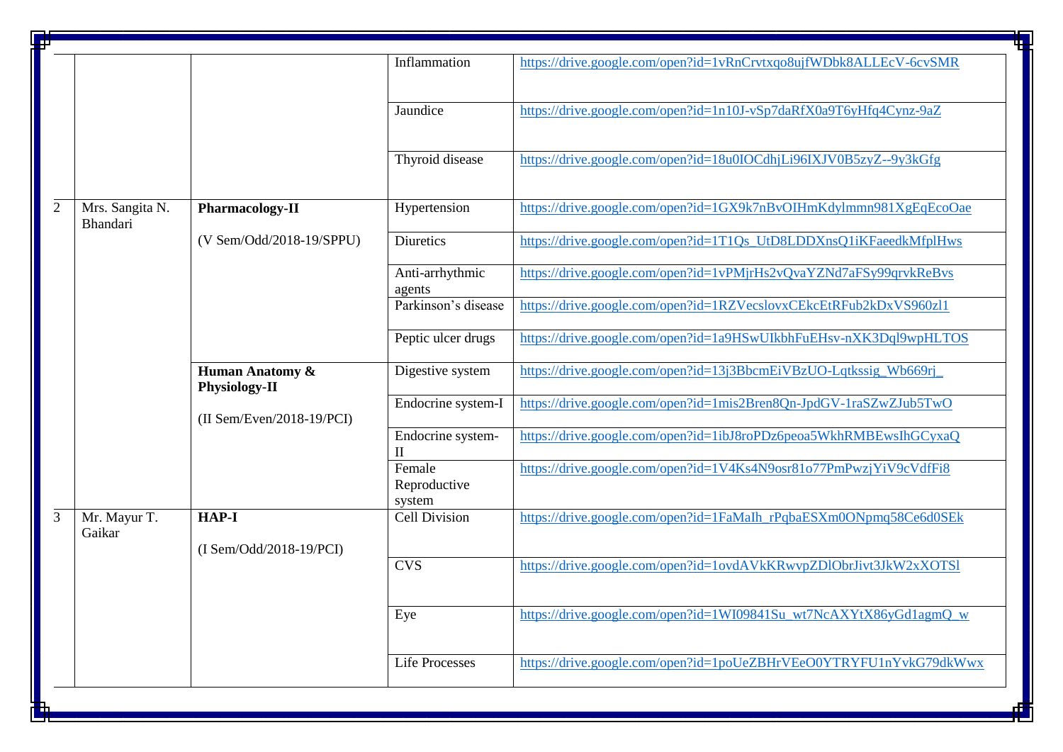| Ŧ | ቺ               |                             |                       |                                                                    |  |  |
|---|-----------------|-----------------------------|-----------------------|--------------------------------------------------------------------|--|--|
|   |                 |                             | Inflammation          | https://drive.google.com/open?id=1vRnCrvtxqo8ujfWDbk8ALLEcV-6cvSMR |  |  |
|   |                 |                             |                       |                                                                    |  |  |
|   |                 |                             |                       |                                                                    |  |  |
|   |                 |                             | Jaundice              | https://drive.google.com/open?id=1n10J-vSp7daRfX0a9T6yHfq4Cynz-9aZ |  |  |
|   |                 |                             |                       |                                                                    |  |  |
|   |                 |                             |                       |                                                                    |  |  |
|   |                 |                             | Thyroid disease       | https://drive.google.com/open?id=18u0IOCdhjLi96IXJV0B5zyZ--9y3kGfg |  |  |
|   |                 |                             |                       |                                                                    |  |  |
|   |                 |                             |                       |                                                                    |  |  |
| 2 | Mrs. Sangita N. | Pharmacology-II             | Hypertension          | https://drive.google.com/open?id=1GX9k7nBvOIHmKdylmmn981XgEqEcoOae |  |  |
|   | Bhandari        |                             |                       |                                                                    |  |  |
|   |                 | (V Sem/Odd/2018-19/SPPU)    | <b>Diuretics</b>      | https://drive.google.com/open?id=1T1Qs_UtD8LDDXnsQ1iKFaeedkMfplHws |  |  |
|   |                 |                             |                       |                                                                    |  |  |
|   |                 |                             | Anti-arrhythmic       | https://drive.google.com/open?id=1vPMjrHs2vQvaYZNd7aFSy99qrvkReBvs |  |  |
|   |                 |                             | agents                |                                                                    |  |  |
|   |                 |                             | Parkinson's disease   | https://drive.google.com/open?id=1RZVecslovxCEkcEtRFub2kDxVS960zl1 |  |  |
|   |                 |                             |                       |                                                                    |  |  |
|   |                 |                             | Peptic ulcer drugs    | https://drive.google.com/open?id=1a9HSwUIkbhFuEHsv-nXK3Dql9wpHLTOS |  |  |
|   |                 |                             |                       |                                                                    |  |  |
|   |                 | Human Anatomy &             | Digestive system      | https://drive.google.com/open?id=13j3BbcmEiVBzUO-Lqtkssig_Wb669rj_ |  |  |
|   |                 | <b>Physiology-II</b>        | Endocrine system-I    | https://drive.google.com/open?id=1mis2Bren8Qn-JpdGV-1raSZwZJub5TwO |  |  |
|   |                 | $(II$ Sem/Even/2018-19/PCI) |                       |                                                                    |  |  |
|   |                 |                             | Endocrine system-     | https://drive.google.com/open?id=1ibJ8roPDz6peoa5WkhRMBEwsIhGCyxaQ |  |  |
|   |                 |                             | $\mathbf{I}$          |                                                                    |  |  |
|   |                 |                             | Female                | https://drive.google.com/open?id=1V4Ks4N9osr81o77PmPwzjYiV9cVdfFi8 |  |  |
|   |                 |                             | Reproductive          |                                                                    |  |  |
|   |                 |                             | system                |                                                                    |  |  |
| 3 | Mr. Mayur T.    | <b>HAP-I</b>                | <b>Cell Division</b>  | https://drive.google.com/open?id=1FaMaIh_rPqbaESXm0ONpmq58Ce6d0SEk |  |  |
|   | Gaikar          |                             |                       |                                                                    |  |  |
|   |                 | (I Sem/Odd/2018-19/PCI)     |                       |                                                                    |  |  |
|   |                 |                             | CVS                   | https://drive.google.com/open?id=1ovdAVkKRwvpZDlObrJivt3JkW2xXOTSl |  |  |
|   |                 |                             |                       |                                                                    |  |  |
|   |                 |                             |                       |                                                                    |  |  |
|   |                 |                             | Eye                   | https://drive.google.com/open?id=1WI09841Su wt7NcAXYtX86yGd1agmQ w |  |  |
|   |                 |                             |                       |                                                                    |  |  |
|   |                 |                             |                       |                                                                    |  |  |
|   |                 |                             | <b>Life Processes</b> | https://drive.google.com/open?id=1poUeZBHrVEeO0YTRYFU1nYvkG79dkWwx |  |  |
|   |                 |                             |                       |                                                                    |  |  |
|   |                 |                             |                       |                                                                    |  |  |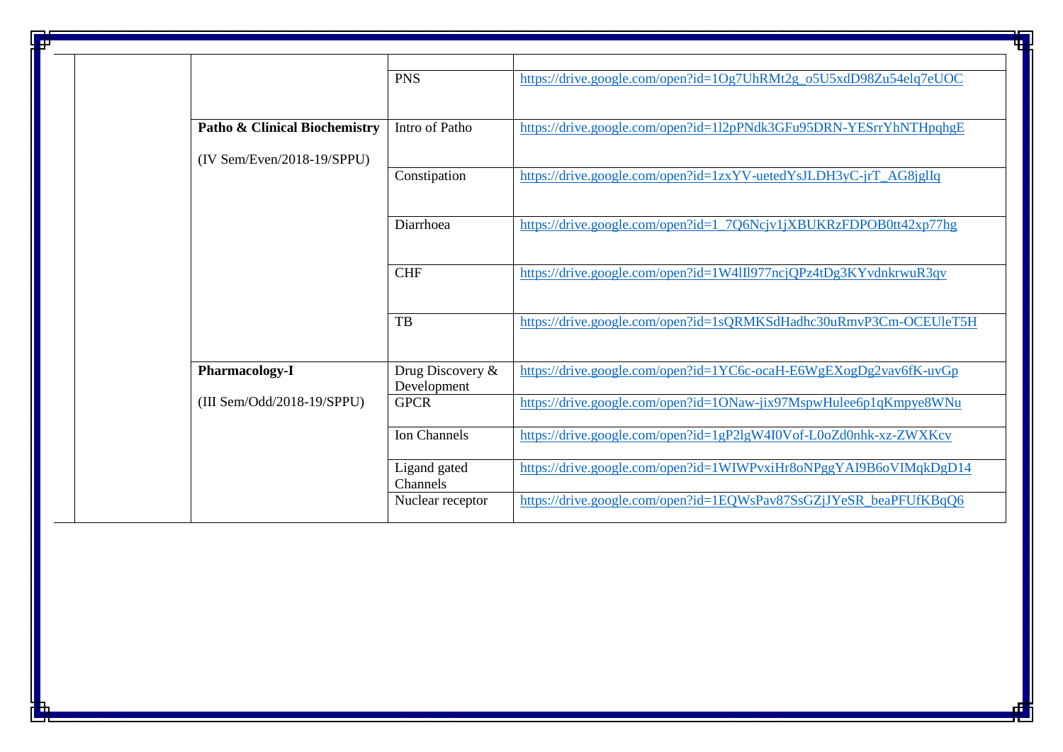|                                          | <b>PNS</b>       | https://drive.google.com/open?id=1Og7UhRMt2g_o5U5xdD98Zu54elq7eUOC |
|------------------------------------------|------------------|--------------------------------------------------------------------|
|                                          |                  |                                                                    |
|                                          |                  |                                                                    |
| <b>Patho &amp; Clinical Biochemistry</b> | Intro of Patho   | https://drive.google.com/open?id=112pPNdk3GFu95DRN-YESrrYhNTHpqhgE |
|                                          |                  |                                                                    |
| $(IV Sem/Even/2018-19/SPPU)$             |                  |                                                                    |
|                                          | Constipation     | https://drive.google.com/open?id=1zxYV-uetedYsJLDH3yC-jrT_AG8jglIq |
|                                          |                  |                                                                    |
|                                          |                  |                                                                    |
|                                          | Diarrhoea        | https://drive.google.com/open?id=1_7Q6Ncjv1jXBUKRzFDPOB0tt42xp77hg |
|                                          |                  |                                                                    |
|                                          |                  |                                                                    |
|                                          | <b>CHF</b>       | https://drive.google.com/open?id=1W4III977ncjQPz4tDg3KYvdnkrwuR3qv |
|                                          |                  |                                                                    |
|                                          |                  |                                                                    |
|                                          | <b>TB</b>        | https://drive.google.com/open?id=1sQRMKSdHadhc30uRmvP3Cm-OCEUleT5H |
|                                          |                  |                                                                    |
|                                          |                  |                                                                    |
| <b>Pharmacology-I</b>                    | Drug Discovery & | https://drive.google.com/open?id=1YC6c-ocaH-E6WgEXogDg2vav6fK-uvGp |
|                                          | Development      |                                                                    |
| (III Sem/Odd/2018-19/SPPU)               | <b>GPCR</b>      | https://drive.google.com/open?id=1ONaw-jix97MspwHulee6p1qKmpye8WNu |
|                                          |                  |                                                                    |
|                                          | Ion Channels     | https://drive.google.com/open?id=1gP2lgW4I0Vof-L0oZd0nhk-xz-ZWXKcv |
|                                          |                  |                                                                    |
|                                          | Ligand gated     | https://drive.google.com/open?id=1WIWPvxiHr8oNPggYAI9B6oVIMqkDgD14 |
|                                          | Channels         |                                                                    |
|                                          | Nuclear receptor | https://drive.google.com/open?id=1EQWsPav87SsGZjJYeSR_beaPFUfKBqQ6 |
|                                          |                  |                                                                    |
|                                          |                  |                                                                    |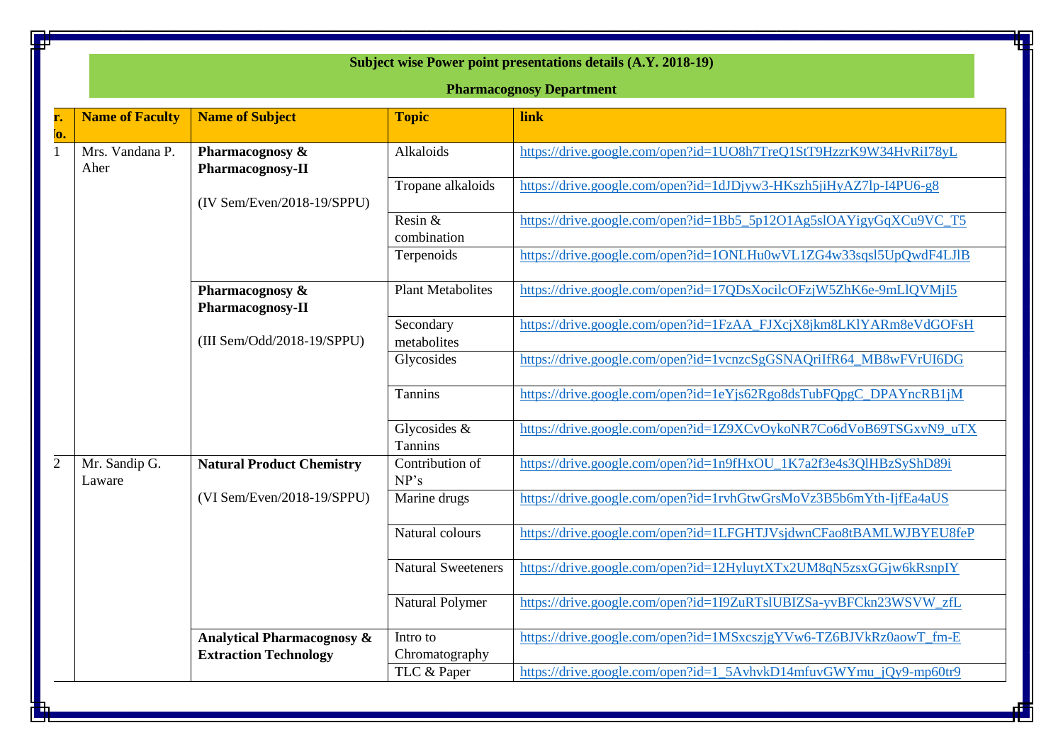| Subject wise Power point presentations details (A.Y. 2018-19)<br><b>Pharmacognosy Department</b> |                                                                       |                                   |                                                                    |  |  |  |
|--------------------------------------------------------------------------------------------------|-----------------------------------------------------------------------|-----------------------------------|--------------------------------------------------------------------|--|--|--|
| <b>Name of Faculty</b>                                                                           | <b>Name of Subject</b>                                                | <b>Topic</b>                      | link                                                               |  |  |  |
| Mrs. Vandana P.<br>Aher                                                                          | Pharmacognosy &<br>Pharmacognosy-II                                   | Alkaloids                         | https://drive.google.com/open?id=1UO8h7TreQ1StT9HzzrK9W34HvRiI78yL |  |  |  |
|                                                                                                  | (IV Sem/Even/2018-19/SPPU)                                            | Tropane alkaloids                 | https://drive.google.com/open?id=1dJDjyw3-HKszh5jiHyAZ7lp-I4PU6-g8 |  |  |  |
|                                                                                                  |                                                                       | Resin &<br>combination            | https://drive.google.com/open?id=1Bb5_5p12O1Ag5slOAYigyGqXCu9VC_T5 |  |  |  |
|                                                                                                  |                                                                       | Terpenoids                        | https://drive.google.com/open?id=1ONLHu0wVL1ZG4w33sqsl5UpQwdF4LJlB |  |  |  |
| Pharmacognosy &<br>Pharmacognosy-II                                                              |                                                                       | <b>Plant Metabolites</b>          | https://drive.google.com/open?id=17QDsXocilcOFzjW5ZhK6e-9mLlQVMjI5 |  |  |  |
|                                                                                                  | (III Sem/Odd/2018-19/SPPU)                                            | Secondary<br>metabolites          | https://drive.google.com/open?id=1FzAA_FJXcjX8jkm8LKIYARm8eVdGOFsH |  |  |  |
|                                                                                                  |                                                                       | Glycosides                        | https://drive.google.com/open?id=1vcnzcSgGSNAQriIfR64_MB8wFVrUI6DG |  |  |  |
|                                                                                                  |                                                                       | Tannins                           | https://drive.google.com/open?id=1eYjs62Rgo8dsTubFQpgC_DPAYncRB1jM |  |  |  |
|                                                                                                  |                                                                       | Glycosides $\&$<br><b>Tannins</b> | https://drive.google.com/open?id=1Z9XCvOykoNR7Co6dVoB69TSGxvN9_uTX |  |  |  |
| Mr. Sandip G.<br>Laware                                                                          | <b>Natural Product Chemistry</b>                                      | Contribution of<br>NP's           | https://drive.google.com/open?id=1n9fHxOU_1K7a2f3e4s3QlHBzSyShD89i |  |  |  |
|                                                                                                  | (VI Sem/Even/2018-19/SPPU)                                            | Marine drugs                      | https://drive.google.com/open?id=1rvhGtwGrsMoVz3B5b6mYth-IjfEa4aUS |  |  |  |
|                                                                                                  |                                                                       | Natural colours                   | https://drive.google.com/open?id=1LFGHTJVsjdwnCFao8tBAMLWJBYEU8feP |  |  |  |
|                                                                                                  |                                                                       | Natural Sweeteners                | https://drive.google.com/open?id=12HyluytXTx2UM8qN5zsxGGjw6kRsnpIY |  |  |  |
|                                                                                                  |                                                                       | Natural Polymer                   | https://drive.google.com/open?id=1I9ZuRTslUBIZSa-yvBFCkn23WSVW_zfL |  |  |  |
|                                                                                                  | <b>Analytical Pharmacognosy &amp;</b><br><b>Extraction Technology</b> | Intro to<br>Chromatography        | https://drive.google.com/open?id=1MSxcszjgYVw6-TZ6BJVkRz0aowT_fm-E |  |  |  |
|                                                                                                  |                                                                       | TLC & Paper                       | https://drive.google.com/open?id=1_5AvhvkD14mfuvGWYmu_jQy9-mp60tr9 |  |  |  |